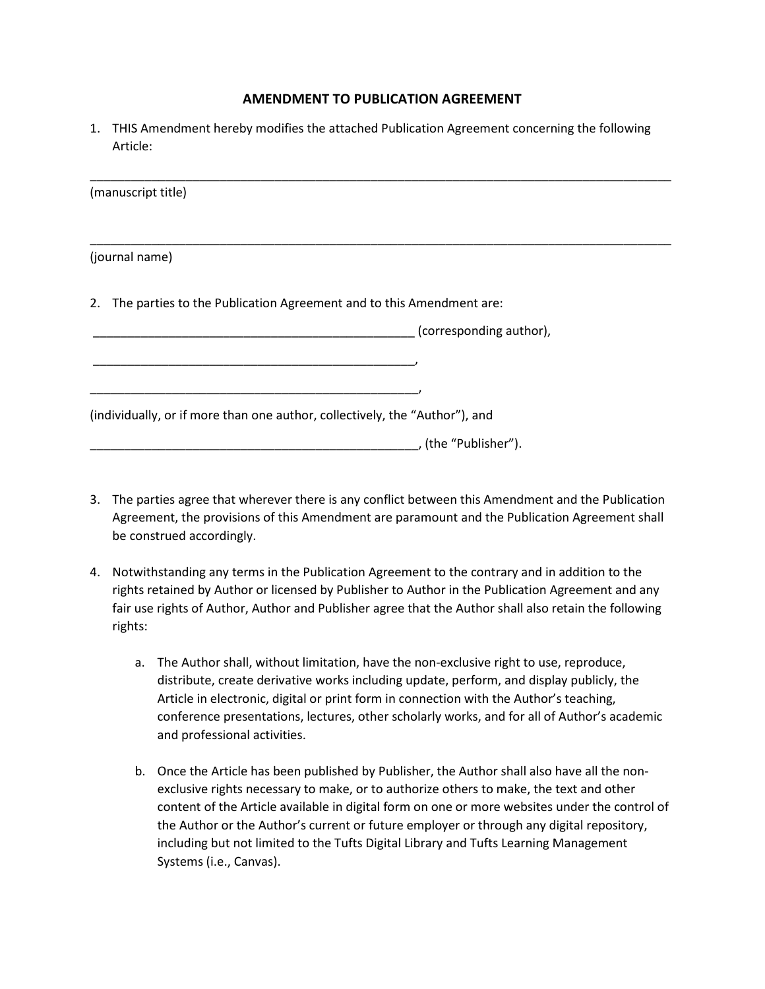## **AMENDMENT TO PUBLICATION AGREEMENT**

1. THIS Amendment hereby modifies the attached Publication Agreement concerning the following Article:

| (manuscript title)                                                          |                         |
|-----------------------------------------------------------------------------|-------------------------|
| (journal name)                                                              |                         |
|                                                                             |                         |
| 2. The parties to the Publication Agreement and to this Amendment are:      |                         |
|                                                                             | (corresponding author), |
|                                                                             |                         |
|                                                                             |                         |
| (individually, or if more than one author, collectively, the "Author"), and |                         |
|                                                                             | , (the "Publisher").    |

- 3. The parties agree that wherever there is any conflict between this Amendment and the Publication Agreement, the provisions of this Amendment are paramount and the Publication Agreement shall be construed accordingly.
- 4. Notwithstanding any terms in the Publication Agreement to the contrary and in addition to the rights retained by Author or licensed by Publisher to Author in the Publication Agreement and any fair use rights of Author, Author and Publisher agree that the Author shall also retain the following rights:
	- a. The Author shall, without limitation, have the non-exclusive right to use, reproduce, distribute, create derivative works including update, perform, and display publicly, the Article in electronic, digital or print form in connection with the Author's teaching, conference presentations, lectures, other scholarly works, and for all of Author's academic and professional activities.
	- b. Once the Article has been published by Publisher, the Author shall also have all the nonexclusive rights necessary to make, or to authorize others to make, the text and other content of the Article available in digital form on one or more websites under the control of the Author or the Author's current or future employer or through any digital repository, including but not limited to the Tufts Digital Library and Tufts Learning Management Systems (i.e., Canvas).